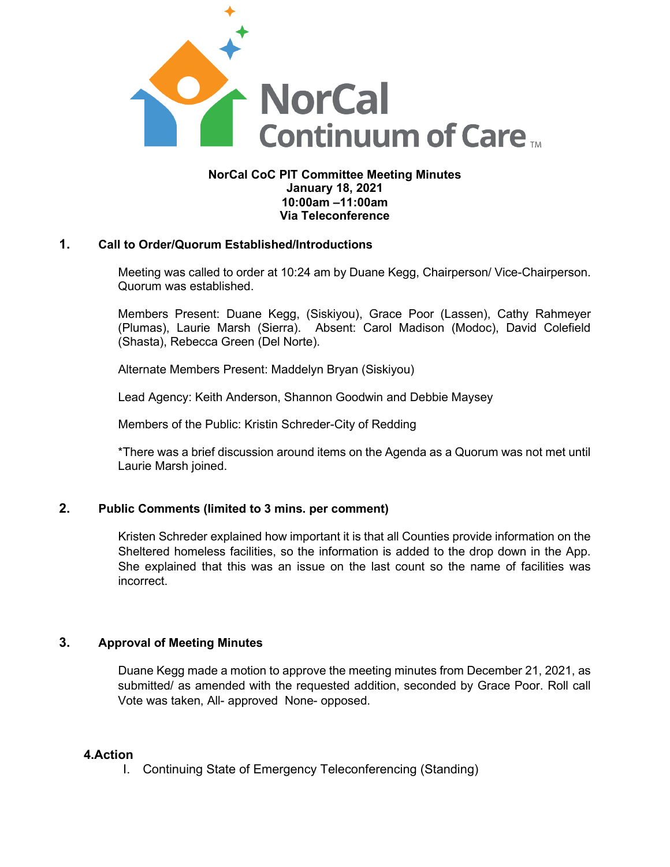

### **NorCal CoC PIT Committee Meeting Minutes January 18, 2021 10:00am –11:00am Via Teleconference**

### **1. Call to Order/Quorum Established/Introductions**

Meeting was called to order at 10:24 am by Duane Kegg, Chairperson/ Vice-Chairperson. Quorum was established.

Members Present: Duane Kegg, (Siskiyou), Grace Poor (Lassen), Cathy Rahmeyer (Plumas), Laurie Marsh (Sierra). Absent: Carol Madison (Modoc), David Colefield (Shasta), Rebecca Green (Del Norte).

Alternate Members Present: Maddelyn Bryan (Siskiyou)

Lead Agency: Keith Anderson, Shannon Goodwin and Debbie Maysey

Members of the Public: Kristin Schreder-City of Redding

\*There was a brief discussion around items on the Agenda as a Quorum was not met until Laurie Marsh joined.

# **2. Public Comments (limited to 3 mins. per comment)**

Kristen Schreder explained how important it is that all Counties provide information on the Sheltered homeless facilities, so the information is added to the drop down in the App. She explained that this was an issue on the last count so the name of facilities was incorrect.

# **3. Approval of Meeting Minutes**

Duane Kegg made a motion to approve the meeting minutes from December 21, 2021, as submitted/ as amended with the requested addition, seconded by Grace Poor. Roll call Vote was taken, All- approved None- opposed.

#### **4.Action**

I. Continuing State of Emergency Teleconferencing (Standing)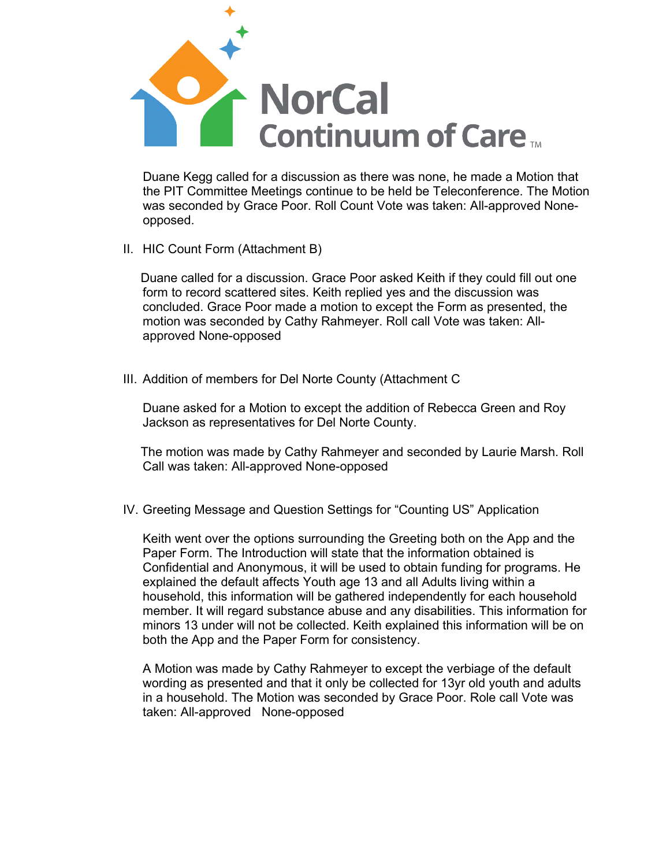

Duane Kegg called for a discussion as there was none, he made a Motion that the PIT Committee Meetings continue to be held be Teleconference. The Motion was seconded by Grace Poor. Roll Count Vote was taken: All-approved Noneopposed.

II. HIC Count Form (Attachment B)

 Duane called for a discussion. Grace Poor asked Keith if they could fill out one form to record scattered sites. Keith replied yes and the discussion was concluded. Grace Poor made a motion to except the Form as presented, the motion was seconded by Cathy Rahmeyer. Roll call Vote was taken: Allapproved None-opposed

III. Addition of members for Del Norte County (Attachment C

Duane asked for a Motion to except the addition of Rebecca Green and Roy Jackson as representatives for Del Norte County.

 The motion was made by Cathy Rahmeyer and seconded by Laurie Marsh. Roll Call was taken: All-approved None-opposed

IV. Greeting Message and Question Settings for "Counting US" Application

Keith went over the options surrounding the Greeting both on the App and the Paper Form. The Introduction will state that the information obtained is Confidential and Anonymous, it will be used to obtain funding for programs. He explained the default affects Youth age 13 and all Adults living within a household, this information will be gathered independently for each household member. It will regard substance abuse and any disabilities. This information for minors 13 under will not be collected. Keith explained this information will be on both the App and the Paper Form for consistency.

A Motion was made by Cathy Rahmeyer to except the verbiage of the default wording as presented and that it only be collected for 13yr old youth and adults in a household. The Motion was seconded by Grace Poor. Role call Vote was taken: All-approved None-opposed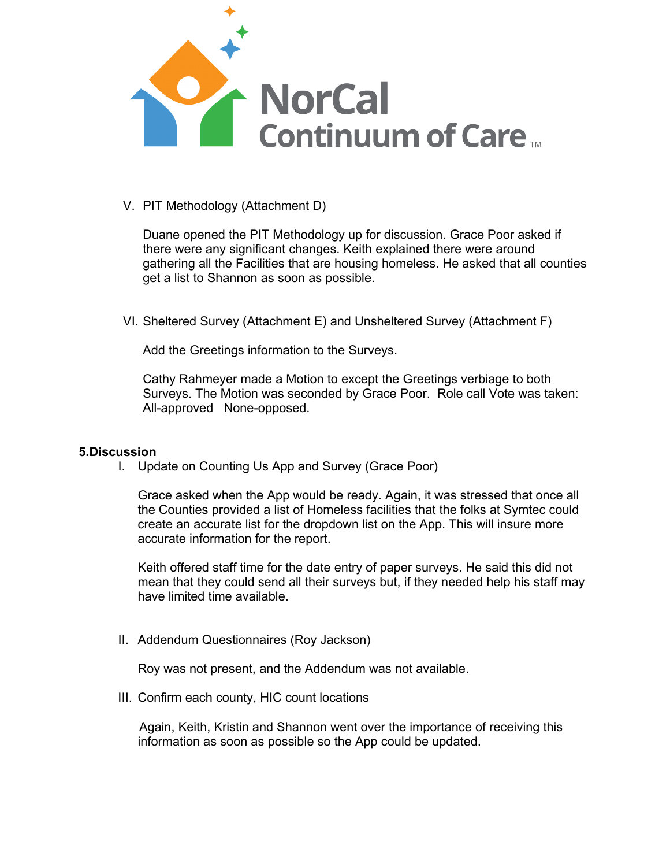

# V. PIT Methodology (Attachment D)

Duane opened the PIT Methodology up for discussion. Grace Poor asked if there were any significant changes. Keith explained there were around gathering all the Facilities that are housing homeless. He asked that all counties get a list to Shannon as soon as possible.

VI. Sheltered Survey (Attachment E) and Unsheltered Survey (Attachment F)

Add the Greetings information to the Surveys.

Cathy Rahmeyer made a Motion to except the Greetings verbiage to both Surveys. The Motion was seconded by Grace Poor. Role call Vote was taken: All-approved None-opposed.

#### **5.Discussion**

I. Update on Counting Us App and Survey (Grace Poor)

Grace asked when the App would be ready. Again, it was stressed that once all the Counties provided a list of Homeless facilities that the folks at Symtec could create an accurate list for the dropdown list on the App. This will insure more accurate information for the report.

Keith offered staff time for the date entry of paper surveys. He said this did not mean that they could send all their surveys but, if they needed help his staff may have limited time available.

II. Addendum Questionnaires (Roy Jackson)

Roy was not present, and the Addendum was not available.

III. Confirm each county, HIC count locations

 Again, Keith, Kristin and Shannon went over the importance of receiving this information as soon as possible so the App could be updated.